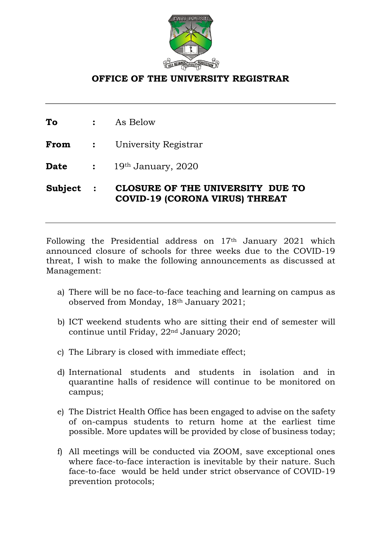

## **OFFICE OF THE UNIVERSITY REGISTRAR**

**To :** As Below

**From :** University Registrar

**Date :** 19th January, 2020

**Subject : CLOSURE OF THE UNIVERSITY DUE TO COVID-19 (CORONA VIRUS) THREAT** 

Following the Presidential address on 17th January 2021 which announced closure of schools for three weeks due to the COVID-19 threat, I wish to make the following announcements as discussed at Management:

- a) There will be no face-to-face teaching and learning on campus as observed from Monday, 18th January 2021;
- b) ICT weekend students who are sitting their end of semester will continue until Friday, 22nd January 2020;
- c) The Library is closed with immediate effect;
- d) International students and students in isolation and in quarantine halls of residence will continue to be monitored on campus;
- e) The District Health Office has been engaged to advise on the safety of on-campus students to return home at the earliest time possible. More updates will be provided by close of business today;
- f) All meetings will be conducted via ZOOM, save exceptional ones where face-to-face interaction is inevitable by their nature. Such face-to-face would be held under strict observance of COVID-19 prevention protocols;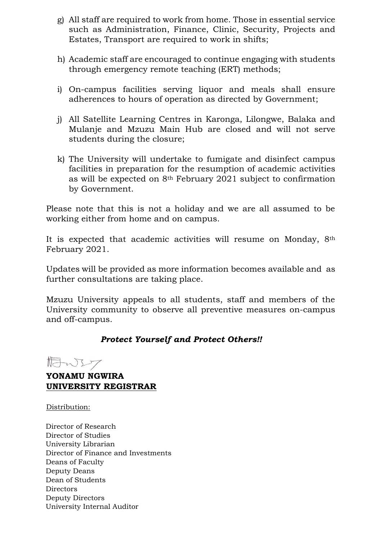- g) All staff are required to work from home. Those in essential service such as Administration, Finance, Clinic, Security, Projects and Estates, Transport are required to work in shifts;
- h) Academic staff are encouraged to continue engaging with students through emergency remote teaching (ERT) methods;
- i) On-campus facilities serving liquor and meals shall ensure adherences to hours of operation as directed by Government;
- j) All Satellite Learning Centres in Karonga, Lilongwe, Balaka and Mulanje and Mzuzu Main Hub are closed and will not serve students during the closure;
- k) The University will undertake to fumigate and disinfect campus facilities in preparation for the resumption of academic activities as will be expected on 8th February 2021 subject to confirmation by Government.

Please note that this is not a holiday and we are all assumed to be working either from home and on campus.

It is expected that academic activities will resume on Monday, 8th February 2021.

Updates will be provided as more information becomes available and as further consultations are taking place.

Mzuzu University appeals to all students, staff and members of the University community to observe all preventive measures on-campus and off-campus.

## *Protect Yourself and Protect Others!!*

tower

**YONAMU NGWIRA UNIVERSITY REGISTRAR**

Distribution:

Director of Research Director of Studies University Librarian Director of Finance and Investments Deans of Faculty Deputy Deans Dean of Students Directors Deputy Directors University Internal Auditor